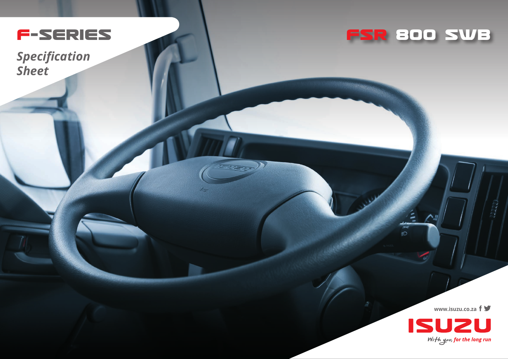

WED

*Specification Sheet*



一部

**www.isuzu.co.za**